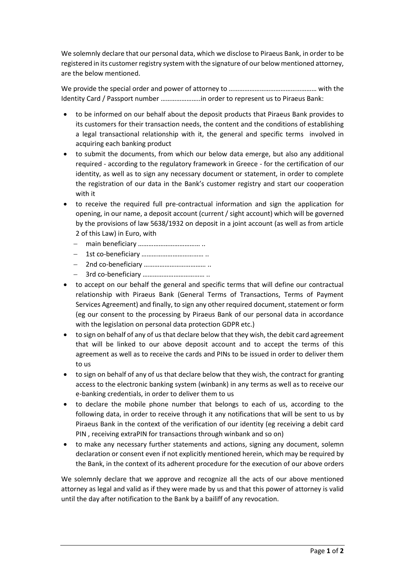We solemnly declare that our personal data, which we disclose to Piraeus Bank, in order to be registered in its customer registry system with the signature of our belowmentioned attorney, are the below mentioned.

We provide the special order and power of attorney to ……………………………………………………………………… Identity Card / Passport number …………………..in order to represent us to Piraeus Bank:

- to be informed on our behalf about the deposit products that Piraeus Bank provides to its customers for their transaction needs, the content and the conditions of establishing a legal transactional relationship with it, the general and specific terms involved in acquiring each banking product
- to submit the documents, from which our below data emerge, but also any additional required - according to the regulatory framework in Greece - for the certification of our identity, as well as to sign any necessary document or statement, in order to complete the registration of our data in the Bank's customer registry and start our cooperation with it
- to receive the required full pre-contractual information and sign the application for opening, in our name, a deposit account (current / sight account) which will be governed by the provisions of law 5638/1932 on deposit in a joint account (as well as from article 2 of this Law) in Euro, with
	- main beneficiary ……………………………… ..
	- 1st co-beneficiary ……………………………… ..
	- 2nd co-beneficiary ……………………………… ..
	- 3rd co-beneficiary ……………………………… ..
- to accept on our behalf the general and specific terms that will define our contractual relationship with Piraeus Bank (General Terms of Transactions, Terms of Payment Services Agreement) and finally, to sign any other required document, statement or form (eg our consent to the processing by Piraeus Bank of our personal data in accordance with the legislation on personal data protection GDPR etc.)
- to sign on behalf of any of us that declare below that they wish, the debit card agreement that will be linked to our above deposit account and to accept the terms of this agreement as well as to receive the cards and PINs to be issued in order to deliver them to us
- to sign on behalf of any of us that declare below that they wish, the contract for granting access to the electronic banking system (winbank) in any terms as well as to receive our e-banking credentials, in order to deliver them to us
- to declare the mobile phone number that belongs to each of us, according to the following data, in order to receive through it any notifications that will be sent to us by Piraeus Bank in the context of the verification of our identity (eg receiving a debit card PIN , receiving extraPIN for transactions through winbank and so on)
- to make any necessary further statements and actions, signing any document, solemn declaration or consent even if not explicitly mentioned herein, which may be required by the Bank, in the context of its adherent procedure for the execution of our above orders

We solemnly declare that we approve and recognize all the acts of our above mentioned attorney as legal and valid as if they were made by us and that this power of attorney is valid until the day after notification to the Bank by a bailiff of any revocation.